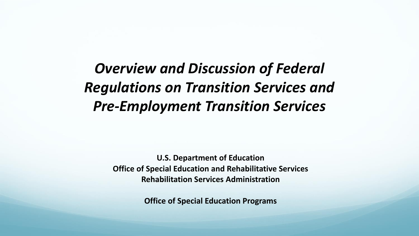## *Overview and Discussion of Federal Regulations on Transition Services and Pre-Employment Transition Services*

**U.S. Department of Education Office of Special Education and Rehabilitative Services Rehabilitation Services Administration**

**Office of Special Education Programs**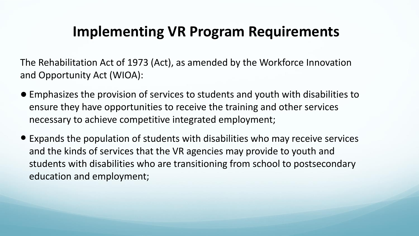### **Implementing VR Program Requirements**

The Rehabilitation Act of 1973 (Act), as amended by the Workforce Innovation and Opportunity Act (WIOA):

- Emphasizes the provision of services to students and youth with disabilities to ensure they have opportunities to receive the training and other services necessary to achieve competitive integrated employment;
- Expands the population of students with disabilities who may receive services and the kinds of services that the VR agencies may provide to youth and students with disabilities who are transitioning from school to postsecondary education and employment;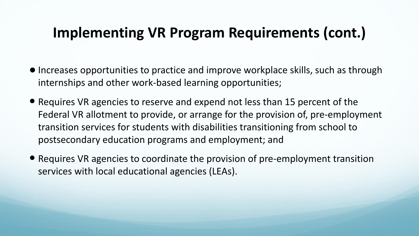### **Implementing VR Program Requirements (cont.)**

- Increases opportunities to practice and improve workplace skills, such as through internships and other work-based learning opportunities;
- Requires VR agencies to reserve and expend not less than 15 percent of the Federal VR allotment to provide, or arrange for the provision of, pre-employment transition services for students with disabilities transitioning from school to postsecondary education programs and employment; and
- Requires VR agencies to coordinate the provision of pre-employment transition services with local educational agencies (LEAs).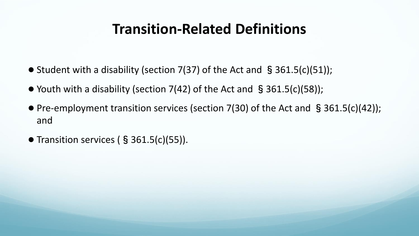#### **Transition-Related Definitions**

- Student with a disability (section 7(37) of the Act and  $\S$  361.5(c)(51));
- Youth with a disability (section  $7(42)$  of the Act and §361.5(c)(58));
- Pre-employment transition services (section 7(30) of the Act and §361.5(c)(42)); and
- Transition services (§ 361.5(c)(55)).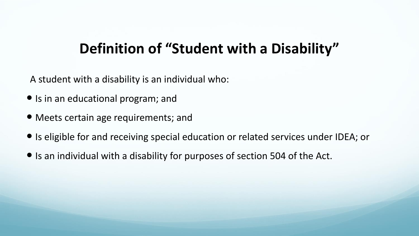#### **Definition of "Student with a Disability"**

A student with a disability is an individual who:

- Is in an educational program; and
- Meets certain age requirements; and
- Is eligible for and receiving special education or related services under IDEA; or
- Is an individual with a disability for purposes of section 504 of the Act.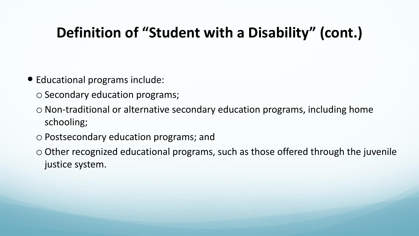### **Definition of "Student with a Disability" (cont.)**

- Educational programs include:
	- o Secondary education programs;
	- o Non-traditional or alternative secondary education programs, including home schooling;
	- o Postsecondary education programs; and
	- o Other recognized educational programs, such as those offered through the juvenile justice system.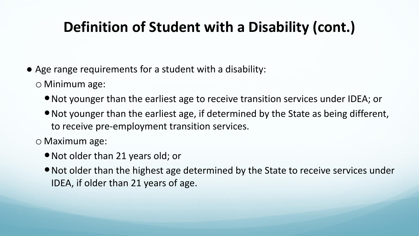### **Definition of Student with a Disability (cont.)**

- Age range requirements for a student with a disability:
	- o Minimum age:
		- Not younger than the earliest age to receive transition services under IDEA; or
		- Not younger than the earliest age, if determined by the State as being different, to receive pre-employment transition services.

o Maximum age:

- Not older than 21 years old; or
- Not older than the highest age determined by the State to receive services under IDEA, if older than 21 years of age.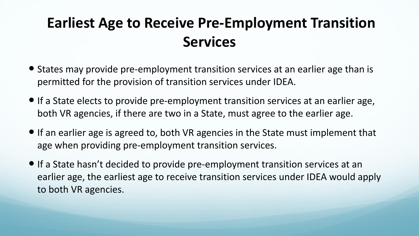### **Earliest Age to Receive Pre-Employment Transition Services**

- States may provide pre-employment transition services at an earlier age than is permitted for the provision of transition services under IDEA.
- If a State elects to provide pre-employment transition services at an earlier age, both VR agencies, if there are two in a State, must agree to the earlier age.
- If an earlier age is agreed to, both VR agencies in the State must implement that age when providing pre-employment transition services.
- If a State hasn't decided to provide pre-employment transition services at an earlier age, the earliest age to receive transition services under IDEA would apply to both VR agencies.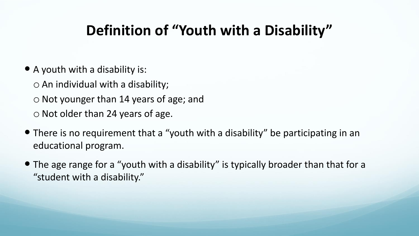### **Definition of "Youth with a Disability"**

- A youth with a disability is:
	- $\circ$  An individual with a disability;

o Not younger than 14 years of age; and

o Not older than 24 years of age.

- There is no requirement that a "youth with a disability" be participating in an educational program.
- The age range for a "youth with a disability" is typically broader than that for a "student with a disability."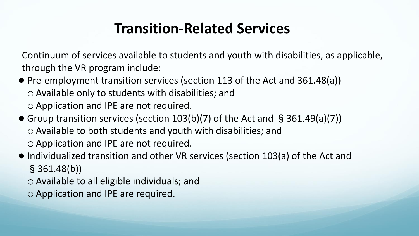#### **Transition-Related Services**

Continuum of services available to students and youth with disabilities, as applicable, through the VR program include:

- Pre-employment transition services (section 113 of the Act and 361.48(a)) o Available only to students with disabilities; and o Application and IPE are not required.
- Group transition services (section 103(b)(7) of the Act and §361.49(a)(7)) o Available to both students and youth with disabilities; and o Application and IPE are not required.
- Individualized transition and other VR services (section 103(a) of the Act and §361.48(b))
	- o Available to all eligible individuals; and
	- o Application and IPE are required.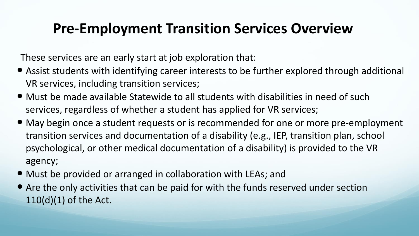#### **Pre-Employment Transition Services Overview**

These services are an early start at job exploration that:

- Assist students with identifying career interests to be further explored through additional VR services, including transition services;
- Must be made available Statewide to all students with disabilities in need of such services, regardless of whether a student has applied for VR services;
- May begin once a student requests or is recommended for one or more pre-employment transition services and documentation of a disability (e.g., IEP, transition plan, school psychological, or other medical documentation of a disability) is provided to the VR agency;
- Must be provided or arranged in collaboration with LEAs; and
- Are the only activities that can be paid for with the funds reserved under section 110(d)(1) of the Act.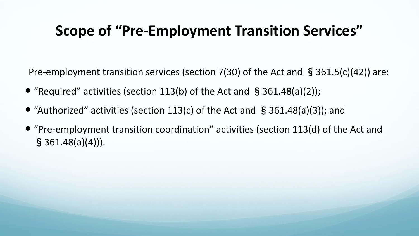#### **Scope of "Pre-Employment Transition Services"**

Pre-employment transition services (section 7(30) of the Act and §361.5(c)(42)) are:

- "Required" activities (section 113(b) of the Act and  $\S$  361.48(a)(2));
- "Authorized" activities (section 113(c) of the Act and §361.48(a)(3)); and
- "Pre-employment transition coordination" activities (section 113(d) of the Act and  $§ 361.48(a)(4))$ .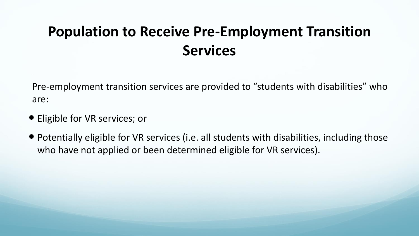### **Population to Receive Pre-Employment Transition Services**

Pre-employment transition services are provided to "students with disabilities" who are:

- Eligible for VR services; or
- Potentially eligible for VR services (i.e. all students with disabilities, including those who have not applied or been determined eligible for VR services).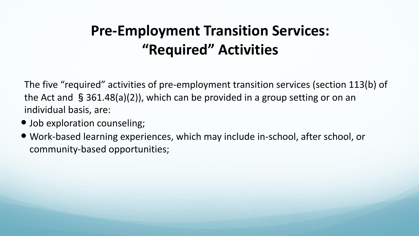### **Pre-Employment Transition Services: "Required" Activities**

The five "required" activities of pre-employment transition services (section 113(b) of the Act and §361.48(a)(2)), which can be provided in a group setting or on an individual basis, are:

- Job exploration counseling;
- Work-based learning experiences, which may include in-school, after school, or community-based opportunities;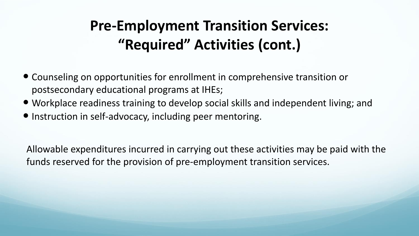### **Pre-Employment Transition Services: "Required" Activities (cont.)**

- Counseling on opportunities for enrollment in comprehensive transition or postsecondary educational programs at IHEs;
- Workplace readiness training to develop social skills and independent living; and
- $\bullet$  Instruction in self-advocacy, including peer mentoring.

Allowable expenditures incurred in carrying out these activities may be paid with the funds reserved for the provision of pre-employment transition services.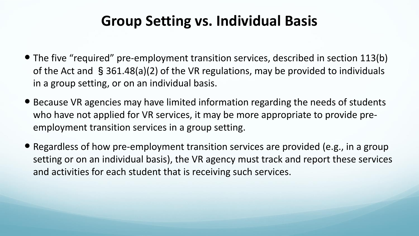#### **Group Setting vs. Individual Basis**

- The five "required" pre-employment transition services, described in section 113(b) of the Act and §361.48(a)(2) of the VR regulations, may be provided to individuals in a group setting, or on an individual basis.
- Because VR agencies may have limited information regarding the needs of students who have not applied for VR services, it may be more appropriate to provide preemployment transition services in a group setting.
- Regardless of how pre-employment transition services are provided (e.g., in a group setting or on an individual basis), the VR agency must track and report these services and activities for each student that is receiving such services.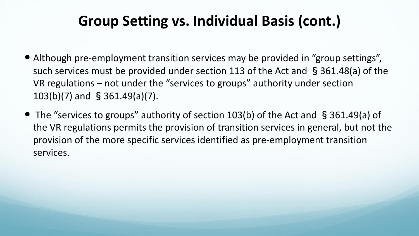### **Group Setting vs. Individual Basis (cont.)**

- Although pre-employment transition services may be provided in "group settings", such services must be provided under section 113 of the Act and §361.48(a) of the VR regulations – not under the "services to groups" authority under section 103(b)(7) and §361.49(a)(7).
- The "services to groups" authority of section 103(b) of the Act and §361.49(a) of the VR regulations permits the provision of transition services in general, but not the provision of the more specific services identified as pre-employment transition services.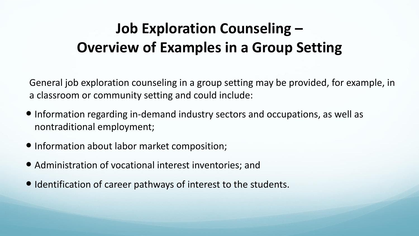## **Job Exploration Counseling – Overview of Examples in a Group Setting**

General job exploration counseling in a group setting may be provided, for example, in a classroom or community setting and could include:

- Information regarding in-demand industry sectors and occupations, as well as nontraditional employment;
- Information about labor market composition;
- Administration of vocational interest inventories; and
- $\bullet$  Identification of career pathways of interest to the students.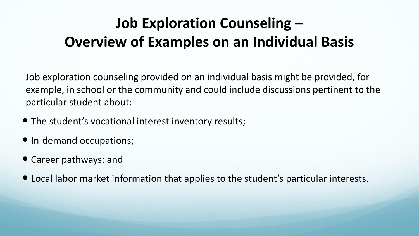## **Job Exploration Counseling – Overview of Examples on an Individual Basis**

Job exploration counseling provided on an individual basis might be provided, for example, in school or the community and could include discussions pertinent to the particular student about:

- The student's vocational interest inventory results;
- In-demand occupations;
- Career pathways; and
- Local labor market information that applies to the student's particular interests.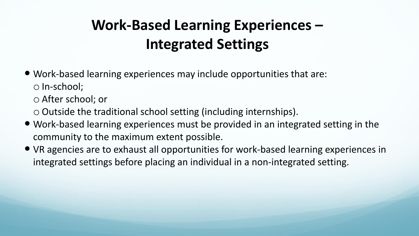## **Work-Based Learning Experiences – Integrated Settings**

 Work-based learning experiences may include opportunities that are: o In-school;

o After school; or

o Outside the traditional school setting (including internships).

- Work-based learning experiences must be provided in an integrated setting in the community to the maximum extent possible.
- VR agencies are to exhaust all opportunities for work-based learning experiences in integrated settings before placing an individual in a non-integrated setting.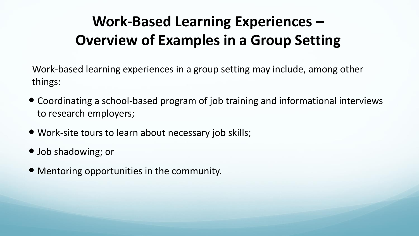## **Work-Based Learning Experiences – Overview of Examples in a Group Setting**

Work-based learning experiences in a group setting may include, among other things:

- Coordinating a school-based program of job training and informational interviews to research employers;
- Work-site tours to learn about necessary job skills;
- Job shadowing; or
- Mentoring opportunities in the community.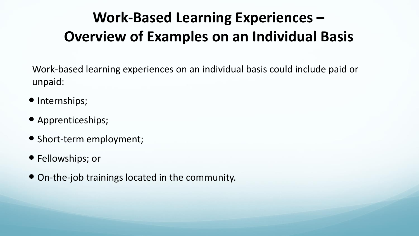## **Work-Based Learning Experiences – Overview of Examples on an Individual Basis**

Work-based learning experiences on an individual basis could include paid or unpaid:

- Internships;
- Apprenticeships;
- Short-term employment;
- Fellowships; or
- On-the-job trainings located in the community.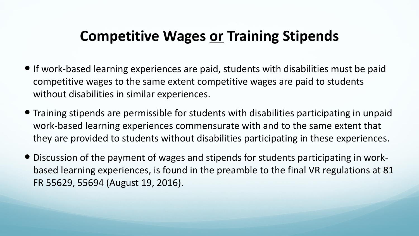#### **Competitive Wages or Training Stipends**

- If work-based learning experiences are paid, students with disabilities must be paid competitive wages to the same extent competitive wages are paid to students without disabilities in similar experiences.
- Training stipends are permissible for students with disabilities participating in unpaid work-based learning experiences commensurate with and to the same extent that they are provided to students without disabilities participating in these experiences.
- Discussion of the payment of wages and stipends for students participating in workbased learning experiences, is found in the preamble to the final VR regulations at 81 FR 55629, 55694 (August 19, 2016).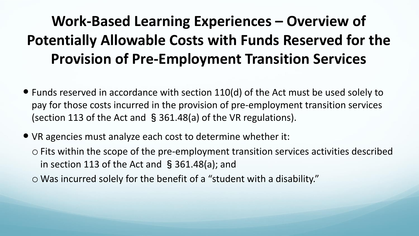## **Work-Based Learning Experiences – Overview of Potentially Allowable Costs with Funds Reserved for the Provision of Pre-Employment Transition Services**

- Funds reserved in accordance with section 110(d) of the Act must be used solely to pay for those costs incurred in the provision of pre-employment transition services (section 113 of the Act and §361.48(a) of the VR regulations).
- VR agencies must analyze each cost to determine whether it:
	- o Fits within the scope of the pre-employment transition services activities described in section 113 of the Act and §361.48(a); and
	- o Was incurred solely for the benefit of a "student with a disability."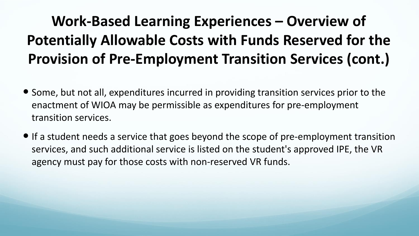# **Work-Based Learning Experiences – Overview of Potentially Allowable Costs with Funds Reserved for the Provision of Pre-Employment Transition Services (cont.)**

- Some, but not all, expenditures incurred in providing transition services prior to the enactment of WIOA may be permissible as expenditures for pre-employment transition services.
- If a student needs a service that goes beyond the scope of pre-employment transition services, and such additional service is listed on the student's approved IPE, the VR agency must pay for those costs with non-reserved VR funds.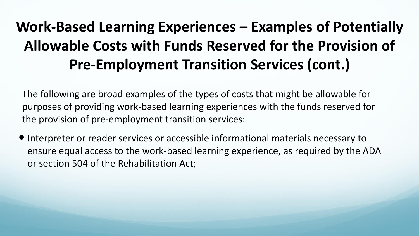## **Work-Based Learning Experiences – Examples of Potentially Allowable Costs with Funds Reserved for the Provision of Pre-Employment Transition Services (cont.)**

The following are broad examples of the types of costs that might be allowable for purposes of providing work-based learning experiences with the funds reserved for the provision of pre-employment transition services:

 Interpreter or reader services or accessible informational materials necessary to ensure equal access to the work-based learning experience, as required by the ADA or section 504 of the Rehabilitation Act;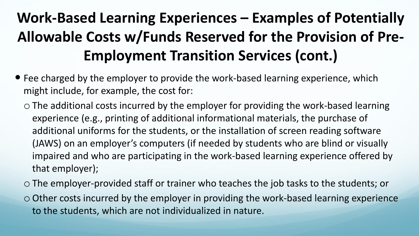# **Work-Based Learning Experiences – Examples of Potentially Allowable Costs w/Funds Reserved for the Provision of Pre-Employment Transition Services (cont.)**

- Fee charged by the employer to provide the work-based learning experience, which might include, for example, the cost for:
	- o The additional costs incurred by the employer for providing the work-based learning experience (e.g., printing of additional informational materials, the purchase of additional uniforms for the students, or the installation of screen reading software (JAWS) on an employer's computers (if needed by students who are blind or visually impaired and who are participating in the work-based learning experience offered by that employer);
	- o The employer-provided staff or trainer who teaches the job tasks to the students; or
	- o Other costs incurred by the employer in providing the work-based learning experience to the students, which are not individualized in nature.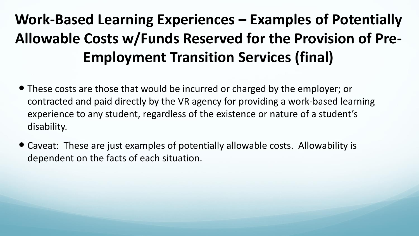# **Work-Based Learning Experiences – Examples of Potentially Allowable Costs w/Funds Reserved for the Provision of Pre-Employment Transition Services (final)**

- These costs are those that would be incurred or charged by the employer; or contracted and paid directly by the VR agency for providing a work-based learning experience to any student, regardless of the existence or nature of a student's disability.
- Caveat: These are just examples of potentially allowable costs. Allowability is dependent on the facts of each situation.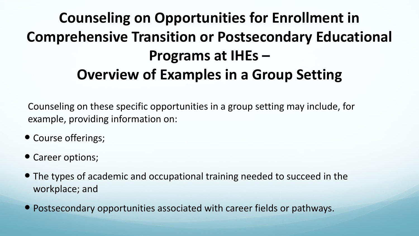## **Counseling on Opportunities for Enrollment in Comprehensive Transition or Postsecondary Educational Programs at IHEs – Overview of Examples in a Group Setting**

Counseling on these specific opportunities in a group setting may include, for example, providing information on:

- Course offerings;
- Career options;
- The types of academic and occupational training needed to succeed in the workplace; and
- Postsecondary opportunities associated with career fields or pathways.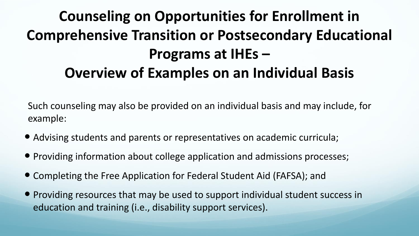## **Counseling on Opportunities for Enrollment in Comprehensive Transition or Postsecondary Educational Programs at IHEs – Overview of Examples on an Individual Basis**

Such counseling may also be provided on an individual basis and may include, for example:

- Advising students and parents or representatives on academic curricula;
- Providing information about college application and admissions processes;
- Completing the Free Application for Federal Student Aid (FAFSA); and
- Providing resources that may be used to support individual student success in education and training (i.e., disability support services).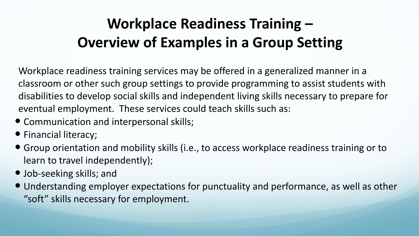## **Workplace Readiness Training – Overview of Examples in a Group Setting**

Workplace readiness training services may be offered in a generalized manner in a classroom or other such group settings to provide programming to assist students with disabilities to develop social skills and independent living skills necessary to prepare for eventual employment. These services could teach skills such as:

- Communication and interpersonal skills;
- Financial literacy;
- Group orientation and mobility skills (i.e., to access workplace readiness training or to learn to travel independently);
- Job-seeking skills; and
- Understanding employer expectations for punctuality and performance, as well as other "soft" skills necessary for employment.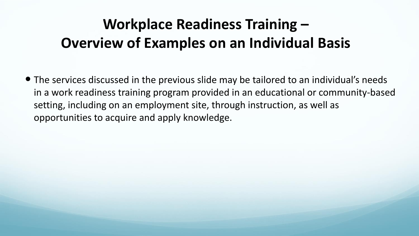### **Workplace Readiness Training – Overview of Examples on an Individual Basis**

 The services discussed in the previous slide may be tailored to an individual's needs in a work readiness training program provided in an educational or community-based setting, including on an employment site, through instruction, as well as opportunities to acquire and apply knowledge.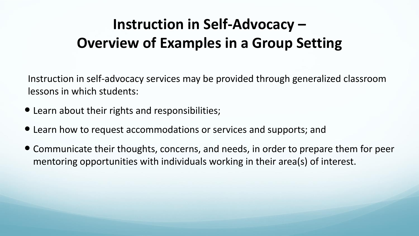### **Instruction in Self-Advocacy – Overview of Examples in a Group Setting**

Instruction in self-advocacy services may be provided through generalized classroom lessons in which students:

- Learn about their rights and responsibilities;
- Learn how to request accommodations or services and supports; and
- Communicate their thoughts, concerns, and needs, in order to prepare them for peer mentoring opportunities with individuals working in their area(s) of interest.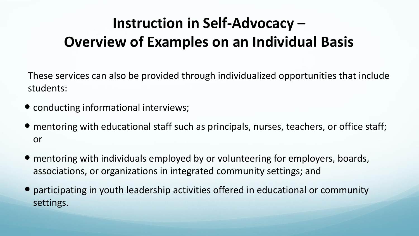## **Instruction in Self-Advocacy – Overview of Examples on an Individual Basis**

These services can also be provided through individualized opportunities that include students:

- conducting informational interviews;
- mentoring with educational staff such as principals, nurses, teachers, or office staff; or
- mentoring with individuals employed by or volunteering for employers, boards, associations, or organizations in integrated community settings; and
- participating in youth leadership activities offered in educational or community settings.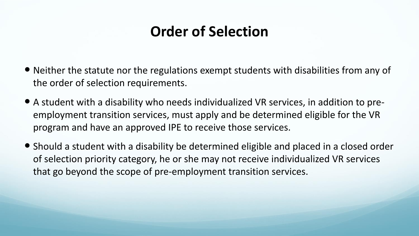### **Order of Selection**

- Neither the statute nor the regulations exempt students with disabilities from any of the order of selection requirements.
- A student with a disability who needs individualized VR services, in addition to preemployment transition services, must apply and be determined eligible for the VR program and have an approved IPE to receive those services.
- Should a student with a disability be determined eligible and placed in a closed order of selection priority category, he or she may not receive individualized VR services that go beyond the scope of pre-employment transition services.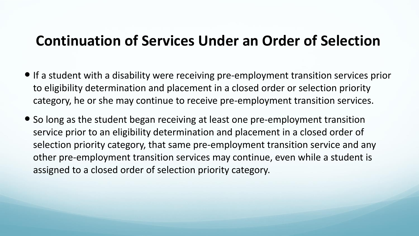#### **Continuation of Services Under an Order of Selection**

- If a student with a disability were receiving pre-employment transition services prior to eligibility determination and placement in a closed order or selection priority category, he or she may continue to receive pre-employment transition services.
- So long as the student began receiving at least one pre-employment transition service prior to an eligibility determination and placement in a closed order of selection priority category, that same pre-employment transition service and any other pre-employment transition services may continue, even while a student is assigned to a closed order of selection priority category.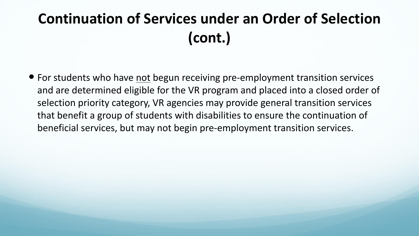# **Continuation of Services under an Order of Selection (cont.)**

• For students who have not begun receiving pre-employment transition services and are determined eligible for the VR program and placed into a closed order of selection priority category, VR agencies may provide general transition services that benefit a group of students with disabilities to ensure the continuation of beneficial services, but may not begin pre-employment transition services.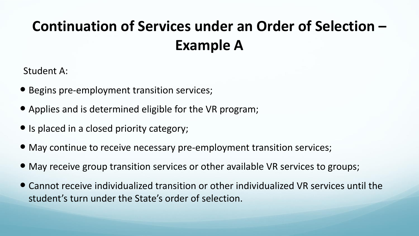# **Continuation of Services under an Order of Selection – Example A**

Student A:

- Begins pre-employment transition services;
- Applies and is determined eligible for the VR program;
- Is placed in a closed priority category;
- May continue to receive necessary pre-employment transition services;
- May receive group transition services or other available VR services to groups;
- Cannot receive individualized transition or other individualized VR services until the student's turn under the State's order of selection.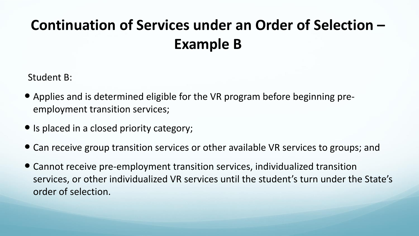# **Continuation of Services under an Order of Selection – Example B**

Student B:

- Applies and is determined eligible for the VR program before beginning preemployment transition services;
- Is placed in a closed priority category;
- Can receive group transition services or other available VR services to groups; and
- Cannot receive pre-employment transition services, individualized transition services, or other individualized VR services until the student's turn under the State's order of selection.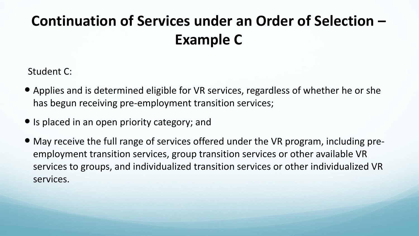# **Continuation of Services under an Order of Selection – Example C**

Student C:

- Applies and is determined eligible for VR services, regardless of whether he or she has begun receiving pre-employment transition services;
- Is placed in an open priority category; and
- May receive the full range of services offered under the VR program, including preemployment transition services, group transition services or other available VR services to groups, and individualized transition services or other individualized VR services.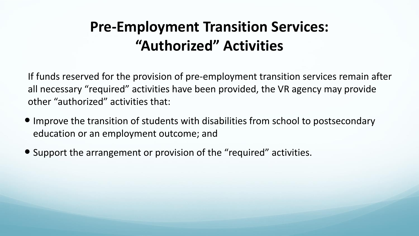## **Pre-Employment Transition Services: "Authorized" Activities**

If funds reserved for the provision of pre-employment transition services remain after all necessary "required" activities have been provided, the VR agency may provide other "authorized" activities that:

- Improve the transition of students with disabilities from school to postsecondary education or an employment outcome; and
- Support the arrangement or provision of the "required" activities.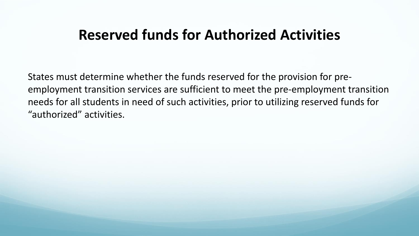#### **Reserved funds for Authorized Activities**

States must determine whether the funds reserved for the provision for preemployment transition services are sufficient to meet the pre-employment transition needs for all students in need of such activities, prior to utilizing reserved funds for "authorized" activities.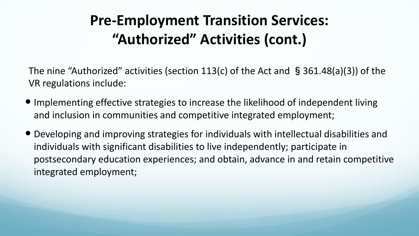## **Pre-Employment Transition Services: "Authorized" Activities (cont.)**

The nine "Authorized" activities (section 113(c) of the Act and §361.48(a)(3)) of the VR regulations include:

- Implementing effective strategies to increase the likelihood of independent living and inclusion in communities and competitive integrated employment;
- Developing and improving strategies for individuals with intellectual disabilities and individuals with significant disabilities to live independently; participate in postsecondary education experiences; and obtain, advance in and retain competitive integrated employment;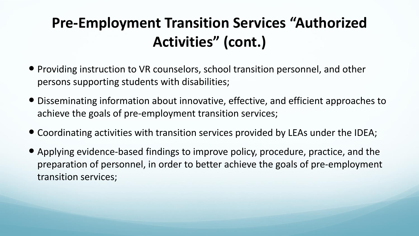# **Pre-Employment Transition Services "Authorized Activities" (cont.)**

- Providing instruction to VR counselors, school transition personnel, and other persons supporting students with disabilities;
- Disseminating information about innovative, effective, and efficient approaches to achieve the goals of pre-employment transition services;
- Coordinating activities with transition services provided by LEAs under the IDEA;
- Applying evidence-based findings to improve policy, procedure, practice, and the preparation of personnel, in order to better achieve the goals of pre-employment transition services;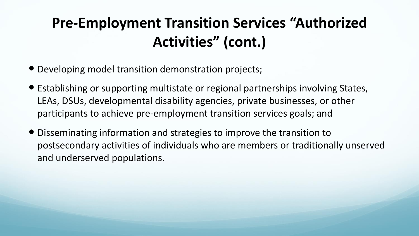# **Pre-Employment Transition Services "Authorized Activities" (cont.)**

- Developing model transition demonstration projects;
- Establishing or supporting multistate or regional partnerships involving States, LEAs, DSUs, developmental disability agencies, private businesses, or other participants to achieve pre-employment transition services goals; and
- Disseminating information and strategies to improve the transition to postsecondary activities of individuals who are members or traditionally unserved and underserved populations.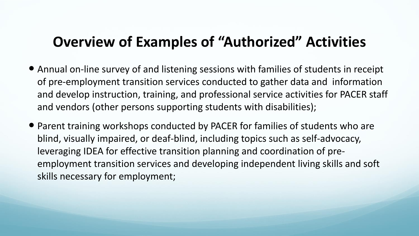#### **Overview of Examples of "Authorized" Activities**

- Annual on-line survey of and listening sessions with families of students in receipt of pre-employment transition services conducted to gather data and information and develop instruction, training, and professional service activities for PACER staff and vendors (other persons supporting students with disabilities);
- Parent training workshops conducted by PACER for families of students who are blind, visually impaired, or deaf-blind, including topics such as self-advocacy, leveraging IDEA for effective transition planning and coordination of preemployment transition services and developing independent living skills and soft skills necessary for employment;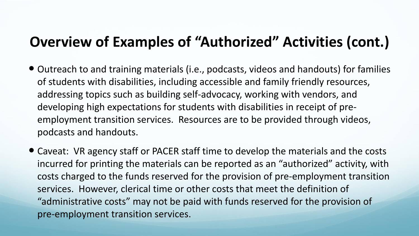### **Overview of Examples of "Authorized" Activities (cont.)**

- Outreach to and training materials (i.e., podcasts, videos and handouts) for families of students with disabilities, including accessible and family friendly resources, addressing topics such as building self-advocacy, working with vendors, and developing high expectations for students with disabilities in receipt of preemployment transition services. Resources are to be provided through videos, podcasts and handouts.
- Caveat: VR agency staff or PACER staff time to develop the materials and the costs incurred for printing the materials can be reported as an "authorized" activity, with costs charged to the funds reserved for the provision of pre-employment transition services. However, clerical time or other costs that meet the definition of "administrative costs" may not be paid with funds reserved for the provision of pre-employment transition services.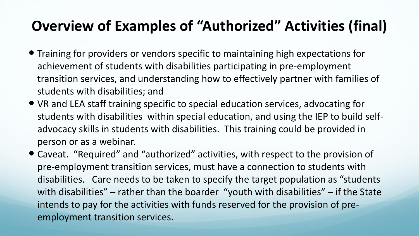## **Overview of Examples of "Authorized" Activities (final)**

- Training for providers or vendors specific to maintaining high expectations for achievement of students with disabilities participating in pre-employment transition services, and understanding how to effectively partner with families of students with disabilities; and
- VR and LEA staff training specific to special education services, advocating for students with disabilities within special education, and using the IEP to build selfadvocacy skills in students with disabilities. This training could be provided in person or as a webinar.
- Caveat. "Required" and "authorized" activities, with respect to the provision of pre-employment transition services, must have a connection to students with disabilities. Care needs to be taken to specify the target population as "students with disabilities" – rather than the boarder "youth with disabilities" – if the State intends to pay for the activities with funds reserved for the provision of preemployment transition services.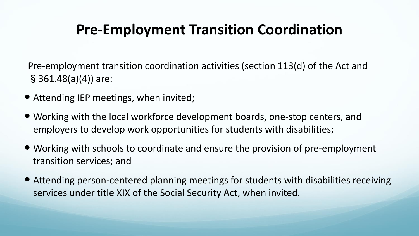## **Pre-Employment Transition Coordination**

Pre-employment transition coordination activities (section 113(d) of the Act and §361.48(a)(4)) are:

- Attending IEP meetings, when invited;
- Working with the local workforce development boards, one-stop centers, and employers to develop work opportunities for students with disabilities;
- Working with schools to coordinate and ensure the provision of pre-employment transition services; and
- Attending person-centered planning meetings for students with disabilities receiving services under title XIX of the Social Security Act, when invited.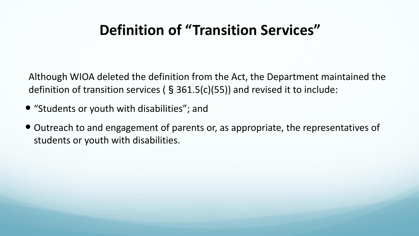### **Definition of "Transition Services"**

Although WIOA deleted the definition from the Act, the Department maintained the definition of transition services ( $\S$  361.5(c)(55)) and revised it to include:

- "Students or youth with disabilities"; and
- Outreach to and engagement of parents or, as appropriate, the representatives of students or youth with disabilities.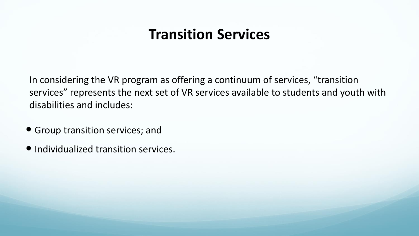#### **Transition Services**

In considering the VR program as offering a continuum of services, "transition services" represents the next set of VR services available to students and youth with disabilities and includes:

- Group transition services; and
- Individualized transition services.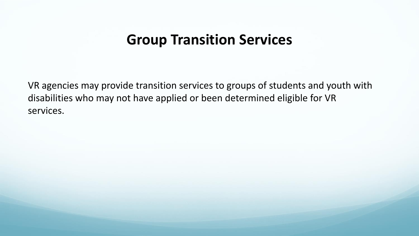#### **Group Transition Services**

VR agencies may provide transition services to groups of students and youth with disabilities who may not have applied or been determined eligible for VR services.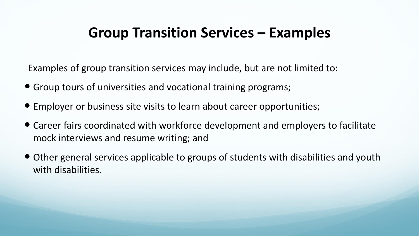### **Group Transition Services – Examples**

Examples of group transition services may include, but are not limited to:

- Group tours of universities and vocational training programs;
- Employer or business site visits to learn about career opportunities;
- Career fairs coordinated with workforce development and employers to facilitate mock interviews and resume writing; and
- Other general services applicable to groups of students with disabilities and youth with disabilities.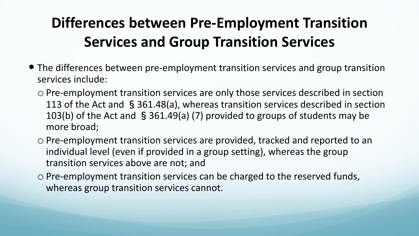# **Differences between Pre-Employment Transition Services and Group Transition Services**

- The differences between pre-employment transition services and group transition services include:
	- o Pre-employment transition services are only those services described in section 113 of the Act and §361.48(a), whereas transition services described in section 103(b) of the Act and §361.49(a) (7) provided to groups of students may be more broad;
	- o Pre-employment transition services are provided, tracked and reported to an individual level (even if provided in a group setting), whereas the group transition services above are not; and
	- o Pre-employment transition services can be charged to the reserved funds, whereas group transition services cannot.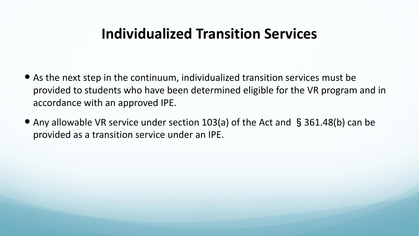#### **Individualized Transition Services**

- As the next step in the continuum, individualized transition services must be provided to students who have been determined eligible for the VR program and in accordance with an approved IPE.
- Any allowable VR service under section 103(a) of the Act and §361.48(b) can be provided as a transition service under an IPE.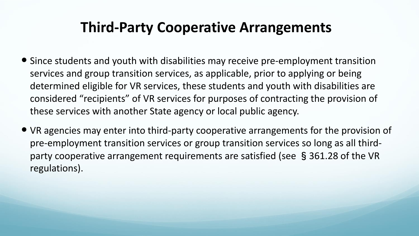#### **Third-Party Cooperative Arrangements**

- Since students and youth with disabilities may receive pre-employment transition services and group transition services, as applicable, prior to applying or being determined eligible for VR services, these students and youth with disabilities are considered "recipients" of VR services for purposes of contracting the provision of these services with another State agency or local public agency.
- VR agencies may enter into third-party cooperative arrangements for the provision of pre-employment transition services or group transition services so long as all thirdparty cooperative arrangement requirements are satisfied (see §361.28 of the VR regulations).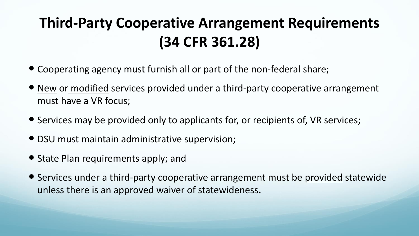# **Third-Party Cooperative Arrangement Requirements (34 CFR 361.28)**

- Cooperating agency must furnish all or part of the non-federal share;
- New or modified services provided under a third-party cooperative arrangement must have a VR focus;
- Services may be provided only to applicants for, or recipients of, VR services;
- DSU must maintain administrative supervision;
- State Plan requirements apply; and
- Services under a third-party cooperative arrangement must be provided statewide unless there is an approved waiver of statewideness**.**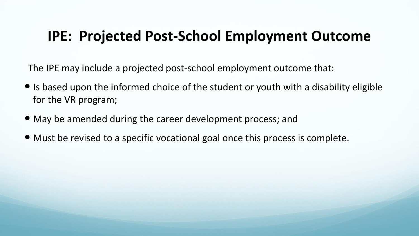#### **IPE: Projected Post-School Employment Outcome**

The IPE may include a projected post-school employment outcome that:

- $\bullet$  Is based upon the informed choice of the student or youth with a disability eligible for the VR program;
- May be amended during the career development process; and
- Must be revised to a specific vocational goal once this process is complete.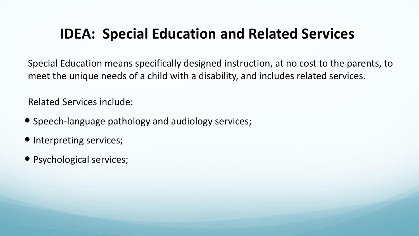#### **IDEA: Special Education and Related Services**

Special Education means specifically designed instruction, at no cost to the parents, to meet the unique needs of a child with a disability, and includes related services.

Related Services include:

- Speech-language pathology and audiology services;
- Interpreting services;
- Psychological services;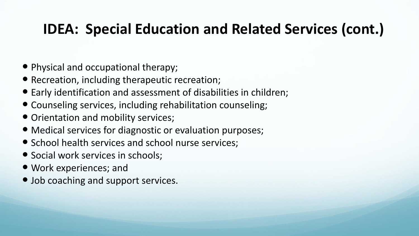## **IDEA: Special Education and Related Services (cont.)**

- Physical and occupational therapy;
- Recreation, including therapeutic recreation;
- Early identification and assessment of disabilities in children;
- Counseling services, including rehabilitation counseling;
- Orientation and mobility services;
- Medical services for diagnostic or evaluation purposes;
- School health services and school nurse services;
- Social work services in schools;
- Work experiences; and
- Job coaching and support services.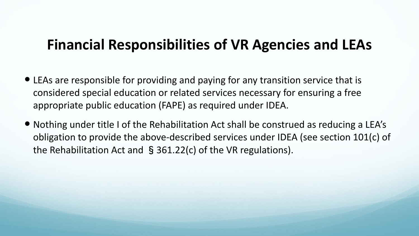#### **Financial Responsibilities of VR Agencies and LEAs**

- LEAs are responsible for providing and paying for any transition service that is considered special education or related services necessary for ensuring a free appropriate public education (FAPE) as required under IDEA.
- Nothing under title I of the Rehabilitation Act shall be construed as reducing a LEA's obligation to provide the above-described services under IDEA (see section 101(c) of the Rehabilitation Act and §361.22(c) of the VR regulations).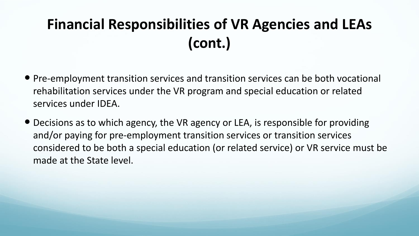# **Financial Responsibilities of VR Agencies and LEAs (cont.)**

- Pre-employment transition services and transition services can be both vocational rehabilitation services under the VR program and special education or related services under IDEA.
- Decisions as to which agency, the VR agency or LEA, is responsible for providing and/or paying for pre-employment transition services or transition services considered to be both a special education (or related service) or VR service must be made at the State level.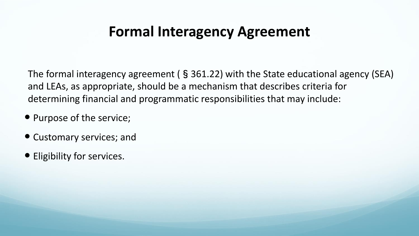### **Formal Interagency Agreement**

The formal interagency agreement (§361.22) with the State educational agency (SEA) and LEAs, as appropriate, should be a mechanism that describes criteria for determining financial and programmatic responsibilities that may include:

- Purpose of the service;
- Customary services; and
- Eligibility for services.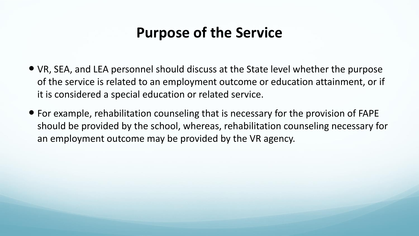### **Purpose of the Service**

- VR, SEA, and LEA personnel should discuss at the State level whether the purpose of the service is related to an employment outcome or education attainment, or if it is considered a special education or related service.
- For example, rehabilitation counseling that is necessary for the provision of FAPE should be provided by the school, whereas, rehabilitation counseling necessary for an employment outcome may be provided by the VR agency.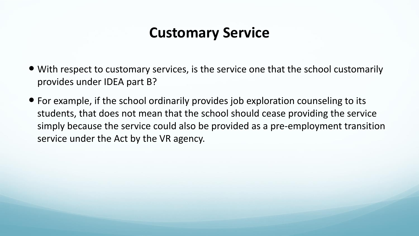### **Customary Service**

- With respect to customary services, is the service one that the school customarily provides under IDEA part B?
- For example, if the school ordinarily provides job exploration counseling to its students, that does not mean that the school should cease providing the service simply because the service could also be provided as a pre-employment transition service under the Act by the VR agency.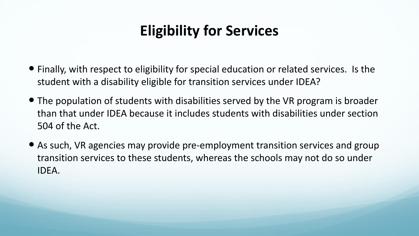## **Eligibility for Services**

- Finally, with respect to eligibility for special education or related services. Is the student with a disability eligible for transition services under IDEA?
- The population of students with disabilities served by the VR program is broader than that under IDEA because it includes students with disabilities under section 504 of the Act.
- As such, VR agencies may provide pre-employment transition services and group transition services to these students, whereas the schools may not do so under IDEA.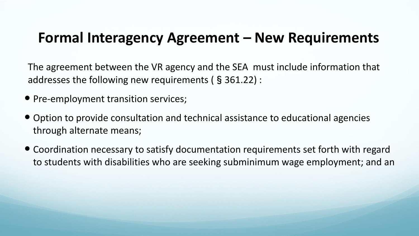#### **Formal Interagency Agreement – New Requirements**

The agreement between the VR agency and the SEA must include information that addresses the following new requirements (§361.22) :

- Pre-employment transition services;
- Option to provide consultation and technical assistance to educational agencies through alternate means;
- Coordination necessary to satisfy documentation requirements set forth with regard to students with disabilities who are seeking subminimum wage employment; and an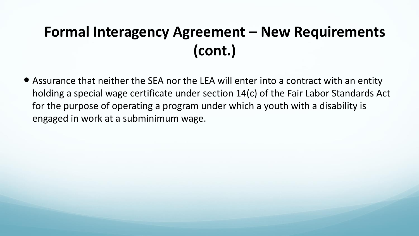# **Formal Interagency Agreement – New Requirements (cont.)**

 Assurance that neither the SEA nor the LEA will enter into a contract with an entity holding a special wage certificate under section 14(c) of the Fair Labor Standards Act for the purpose of operating a program under which a youth with a disability is engaged in work at a subminimum wage.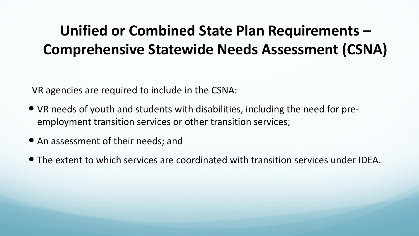## **Unified or Combined State Plan Requirements – Comprehensive Statewide Needs Assessment (CSNA)**

VR agencies are required to include in the CSNA:

- VR needs of youth and students with disabilities, including the need for preemployment transition services or other transition services;
- An assessment of their needs; and
- The extent to which services are coordinated with transition services under IDEA.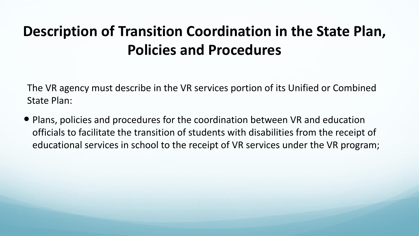# **Description of Transition Coordination in the State Plan, Policies and Procedures**

The VR agency must describe in the VR services portion of its Unified or Combined State Plan:

• Plans, policies and procedures for the coordination between VR and education officials to facilitate the transition of students with disabilities from the receipt of educational services in school to the receipt of VR services under the VR program;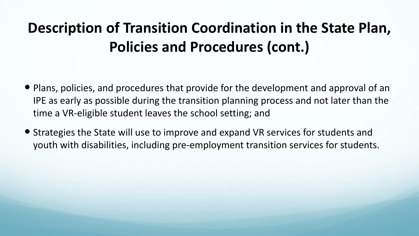# **Description of Transition Coordination in the State Plan, Policies and Procedures (cont.)**

- Plans, policies, and procedures that provide for the development and approval of an IPE as early as possible during the transition planning process and not later than the time a VR-eligible student leaves the school setting; and
- Strategies the State will use to improve and expand VR services for students and youth with disabilities, including pre-employment transition services for students.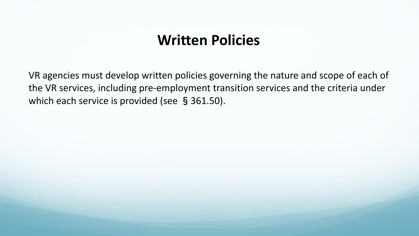#### **Written Policies**

VR agencies must develop written policies governing the nature and scope of each of the VR services, including pre-employment transition services and the criteria under which each service is provided (see §361.50).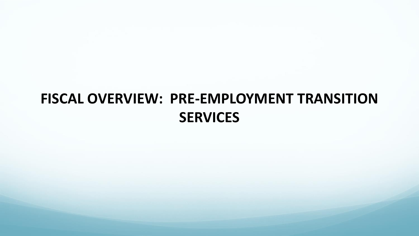# **FISCAL OVERVIEW: PRE-EMPLOYMENT TRANSITION SERVICES**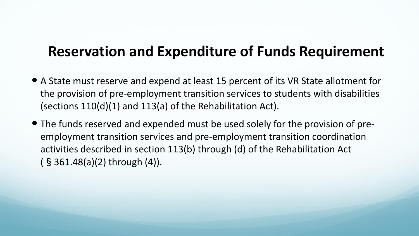#### **Reservation and Expenditure of Funds Requirement**

- A State must reserve and expend at least 15 percent of its VR State allotment for the provision of pre-employment transition services to students with disabilities (sections 110(d)(1) and 113(a) of the Rehabilitation Act).
- The funds reserved and expended must be used solely for the provision of preemployment transition services and pre-employment transition coordination activities described in section 113(b) through (d) of the Rehabilitation Act (§361.48(a)(2) through (4)).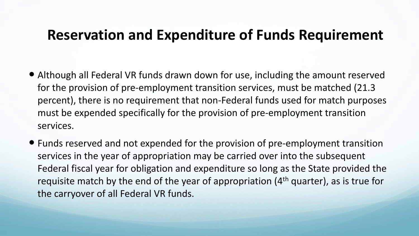### **Reservation and Expenditure of Funds Requirement**

- Although all Federal VR funds drawn down for use, including the amount reserved for the provision of pre-employment transition services, must be matched (21.3 percent), there is no requirement that non-Federal funds used for match purposes must be expended specifically for the provision of pre-employment transition services.
- Funds reserved and not expended for the provision of pre-employment transition services in the year of appropriation may be carried over into the subsequent Federal fiscal year for obligation and expenditure so long as the State provided the requisite match by the end of the year of appropriation (4<sup>th</sup> quarter), as is true for the carryover of all Federal VR funds.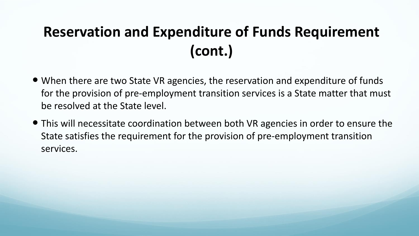# **Reservation and Expenditure of Funds Requirement (cont.)**

- When there are two State VR agencies, the reservation and expenditure of funds for the provision of pre-employment transition services is a State matter that must be resolved at the State level.
- This will necessitate coordination between both VR agencies in order to ensure the State satisfies the requirement for the provision of pre-employment transition services.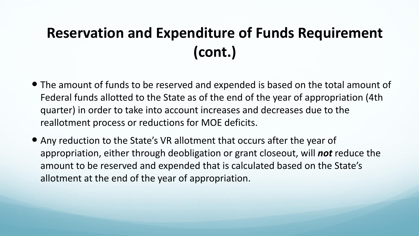# **Reservation and Expenditure of Funds Requirement (cont.)**

- The amount of funds to be reserved and expended is based on the total amount of Federal funds allotted to the State as of the end of the year of appropriation (4th quarter) in order to take into account increases and decreases due to the reallotment process or reductions for MOE deficits.
- Any reduction to the State's VR allotment that occurs after the year of appropriation, either through deobligation or grant closeout, will *not* reduce the amount to be reserved and expended that is calculated based on the State's allotment at the end of the year of appropriation.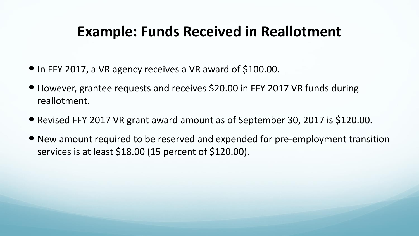## **Example: Funds Received in Reallotment**

- In FFY 2017, a VR agency receives a VR award of \$100.00.
- However, grantee requests and receives \$20.00 in FFY 2017 VR funds during reallotment.
- Revised FFY 2017 VR grant award amount as of September 30, 2017 is \$120.00.
- New amount required to be reserved and expended for pre-employment transition services is at least \$18.00 (15 percent of \$120.00).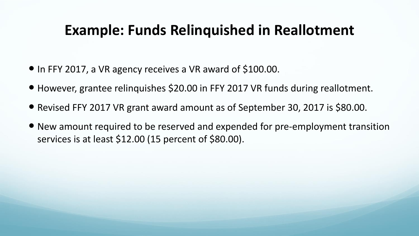## **Example: Funds Relinquished in Reallotment**

- In FFY 2017, a VR agency receives a VR award of \$100.00.
- However, grantee relinquishes \$20.00 in FFY 2017 VR funds during reallotment.
- Revised FFY 2017 VR grant award amount as of September 30, 2017 is \$80.00.
- New amount required to be reserved and expended for pre-employment transition services is at least \$12.00 (15 percent of \$80.00).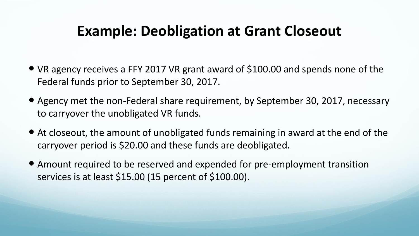## **Example: Deobligation at Grant Closeout**

- VR agency receives a FFY 2017 VR grant award of \$100.00 and spends none of the Federal funds prior to September 30, 2017.
- Agency met the non-Federal share requirement, by September 30, 2017, necessary to carryover the unobligated VR funds.
- At closeout, the amount of unobligated funds remaining in award at the end of the carryover period is \$20.00 and these funds are deobligated.
- Amount required to be reserved and expended for pre-employment transition services is at least \$15.00 (15 percent of \$100.00).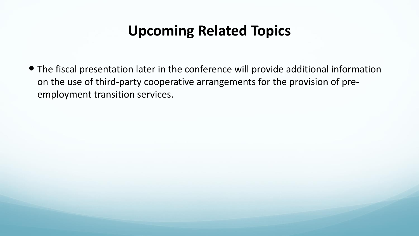## **Upcoming Related Topics**

 The fiscal presentation later in the conference will provide additional information on the use of third-party cooperative arrangements for the provision of preemployment transition services.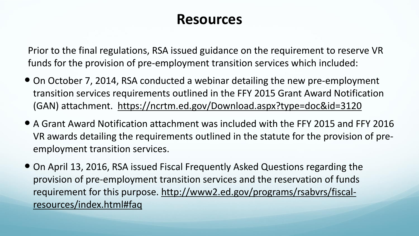#### **Resources**

Prior to the final regulations, RSA issued guidance on the requirement to reserve VR funds for the provision of pre-employment transition services which included:

- On October 7, 2014, RSA conducted a webinar detailing the new pre-employment transition services requirements outlined in the FFY 2015 Grant Award Notification (GAN) attachment. <https://ncrtm.ed.gov/Download.aspx?type=doc&id=3120>
- A Grant Award Notification attachment was included with the FFY 2015 and FFY 2016 VR awards detailing the requirements outlined in the statute for the provision of preemployment transition services.
- On April 13, 2016, RSA issued Fiscal Frequently Asked Questions regarding the provision of pre-employment transition services and the reservation of funds requirement for this purpose. [http://www2.ed.gov/programs/rsabvrs/fiscal](http://www2.ed.gov/programs/rsabvrs/fiscal-resources/index.html#faq)[resources/index.html#faq](http://www2.ed.gov/programs/rsabvrs/fiscal-resources/index.html#faq)